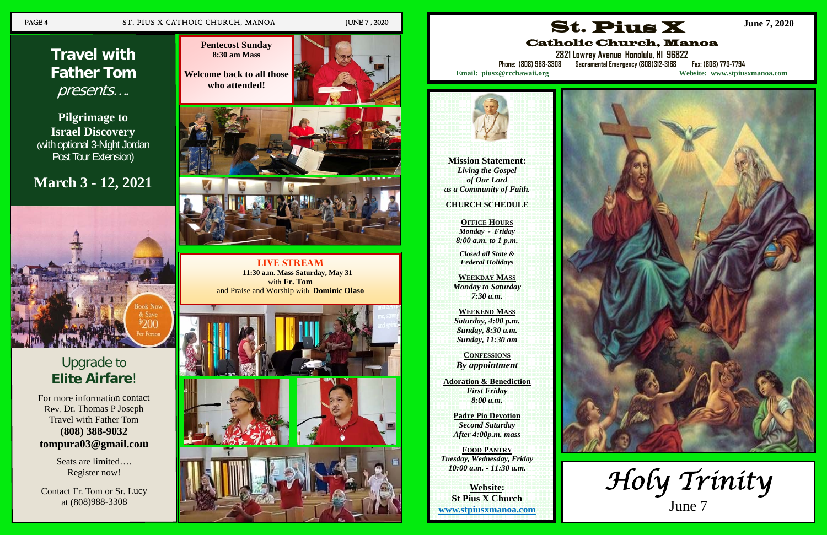## PAGE 4 ST. PIUS X CATHOIC CHURCH, MANOA JUNE 7, 2020

## Upgrade to **EliteAirfare**!

For more information contact R e v. D r. T h o m as P J ose p h Travel with Father Tom **(8 08) 3 8 8-9 0 3 2 t o m p u r a 0 3 @ g m ail.c o m**

> Seats are limited.... Register now!

Contact Fr. Tom or Sr. Lucy at (8 0 8)9 8 8-3 3 0 8

# **Travel with Father Tom**  presents….

**Pilgrimage to Israel Discovery**  (with optional 3-Night Jordan Post Tour Extension)

## **March 3 - 12, 2021**



**Live Stream 11:30 a.m. Mass Saturday, May 31**  with **Fr. Tom** and Praise and Worship with **Dominic Olaso**



**Pentecost Sunday 8:30 am Mass** 



**Mission Statement:**  *Living the Gospel of Our Lord as a Community of Faith.* 

**CHURCH SCHEDULE** 

**OFFICE HOURS** *Monday - Friday 8:00 a.m. to 1 p.m.* 

*Closed all State & Federal Holidays* 

**WEEKDAY MASS** *Monday to Saturday 7:30 a.m.* 

**WEEKEND MASS** *Saturday, 4:00 p.m. Sunday, 8:30 a.m. Sunday, 11:30 am* 

**CONFESSIONS** *By appointment* 

**Adoration & Benediction**  *First Friday 8:00 a.m.* 

> **Padre Pio Devotion**  *Second Saturday After 4:00p.m. mass*

**FOOD PANTRY** *Tuesday, Wednesday, Friday 10:00 a.m. - 11:30 a.m.* 

**Website: St Pius X Church www.stpiusxmanoa.com** 

## St. Pius X Catholic Church, Manoa

**2821 Lowrey Avenue Honolulu, HI 96822** 

**Phone: (808) 988-3308 Sacramental Emergency (808)312-3168 Fax: (808) 773-7794 Email: piusx@rcchawaii.org Website: www.stpiusxmanoa.com**



**June 7, 2020**